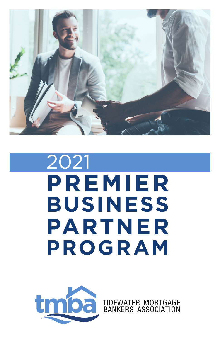

# 2021 **PREMIER BUSINESS PARTNER PROGRAM**



TIDEWATER MORTGAGE BANKERS ASSOCIATION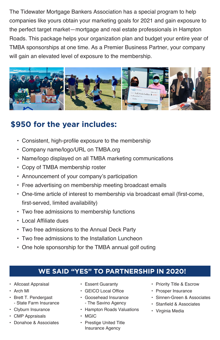The Tidewater Mortgage Bankers Association has a special program to help companies like yours obtain your marketing goals for 2021 and gain exposure to the perfect target market—mortgage and real estate professionals in Hampton Roads. This package helps your organization plan and budget your entire year of TMBA sponsorships at one time. As a Premier Business Partner, your company will gain an elevated level of exposure to the membership.



### **\$950 for the year includes:**

- Consistent, high-profile exposure to the membership
- Company name/logo/URL on TMBA.org
- Name/logo displayed on all TMBA marketing communications
- Copy of TMBA membership roster
- Announcement of your company's participation
- Free advertising on membership meeting broadcast emails
- One-time article of interest to membership via broadcast email (first-come, first-served, limited availability)
- Two free admissions to membership functions
- Local Affiliate dues
- Two free admissions to the Annual Deck Party
- Two free admissions to the Installation Luncheon
- One hole sponsorship for the TMBA annual golf outing

### **WE SAID "YES" TO PARTNERSHIP IN 2020!**

- Allcoast Appraisal
- Arch MI
- Brett T. Pendergast - State Farm Insurance
- Clyburn Insurance
- CMP Appraisals
- Donahoe & Associates
- Essent Guaranty
- GEICO Local Office
- Goosehead Insurance - The Savino Agency
- Hampton Roads Valuations
- MGIC
- Prestige United Title Insurance Agency
- Priority Title & Escrow
- Prosper Insurance
- Sinnen-Green & Associates
- Stanfield & Associates
- Virginia Media